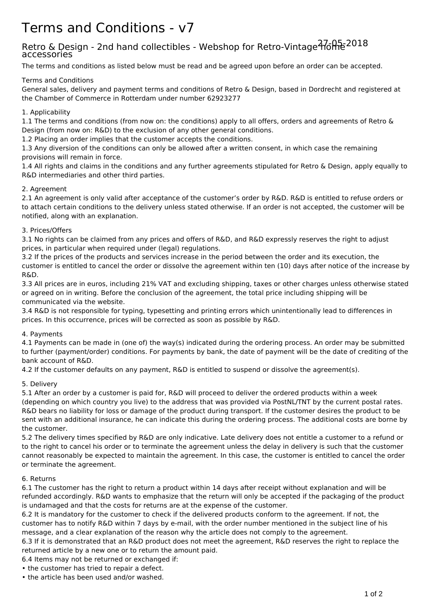# Terms and Conditions - v7

# Retro & Design - 2nd hand collectibles - Webshop for Retro-Vintage  $\overline{37}$ ofhe<sup>2018</sup> accessories

The terms and conditions as listed below must be read and be agreed upon before an order can be accepted.

# Terms and Conditions

General sales, delivery and payment terms and conditions of Retro & Design, based in Dordrecht and registered at the Chamber of Commerce in Rotterdam under number 62923277

## 1. Applicability

1.1 The terms and conditions (from now on: the conditions) apply to all offers, orders and agreements of Retro & Design (from now on: R&D) to the exclusion of any other general conditions.

1.2 Placing an order implies that the customer accepts the conditions.

1.3 Any diversion of the conditions can only be allowed after a written consent, in which case the remaining provisions will remain in force.

1.4 All rights and claims in the conditions and any further agreements stipulated for Retro & Design, apply equally to R&D intermediaries and other third parties.

# 2. Agreement

2.1 An agreement is only valid after acceptance of the customer's order by R&D. R&D is entitled to refuse orders or to attach certain conditions to the delivery unless stated otherwise. If an order is not accepted, the customer will be notified, along with an explanation.

# 3. Prices/Offers

3.1 No rights can be claimed from any prices and offers of R&D, and R&D expressly reserves the right to adjust prices, in particular when required under (legal) regulations.

3.2 If the prices of the products and services increase in the period between the order and its execution, the customer is entitled to cancel the order or dissolve the agreement within ten (10) days after notice of the increase by R&D.

3.3 All prices are in euros, including 21% VAT and excluding shipping, taxes or other charges unless otherwise stated or agreed on in writing. Before the conclusion of the agreement, the total price including shipping will be communicated via the website.

3.4 R&D is not responsible for typing, typesetting and printing errors which unintentionally lead to differences in prices. In this occurrence, prices will be corrected as soon as possible by R&D.

#### 4. Payments

4.1 Payments can be made in (one of) the way(s) indicated during the ordering process. An order may be submitted to further (payment/order) conditions. For payments by bank, the date of payment will be the date of crediting of the bank account of R&D.

4.2 If the customer defaults on any payment, R&D is entitled to suspend or dissolve the agreement(s).

#### 5. Delivery

5.1 After an order by a customer is paid for, R&D will proceed to deliver the ordered products within a week (depending on which country you live) to the address that was provided via PostNL/TNT by the current postal rates. R&D bears no liability for loss or damage of the product during transport. If the customer desires the product to be sent with an additional insurance, he can indicate this during the ordering process. The additional costs are borne by the customer.

5.2 The delivery times specified by R&D are only indicative. Late delivery does not entitle a customer to a refund or to the right to cancel his order or to terminate the agreement unless the delay in delivery is such that the customer cannot reasonably be expected to maintain the agreement. In this case, the customer is entitled to cancel the order or terminate the agreement.

#### 6. Returns

6.1 The customer has the right to return a product within 14 days after receipt without explanation and will be refunded accordingly. R&D wants to emphasize that the return will only be accepted if the packaging of the product is undamaged and that the costs for returns are at the expense of the customer.

6.2 It is mandatory for the customer to check if the delivered products conform to the agreement. If not, the customer has to notify R&D within 7 days by e-mail, with the order number mentioned in the subject line of his message, and a clear explanation of the reason why the article does not comply to the agreement.

6.3 If it is demonstrated that an R&D product does not meet the agreement, R&D reserves the right to replace the returned article by a new one or to return the amount paid.

6.4 Items may not be returned or exchanged if:

- the customer has tried to repair a defect.
- the article has been used and/or washed.